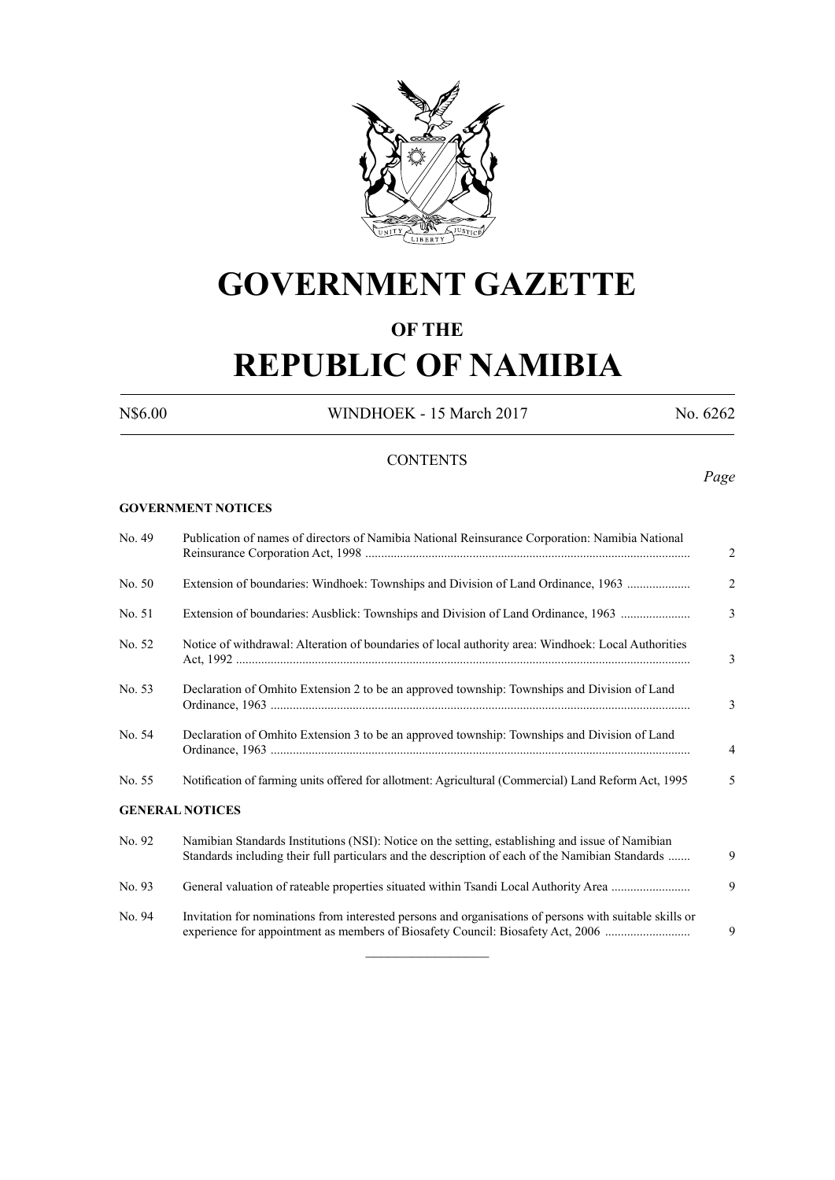

# **GOVERNMENT GAZETTE**

# **OF THE**

# **REPUBLIC OF NAMIBIA**

N\$6.00 WINDHOEK - 15 March 2017 No. 6262

# **CONTENTS**

*Page*

#### **GOVERNMENT NOTICES**

| No. 49 | Publication of names of directors of Namibia National Reinsurance Corporation: Namibia National                                                                                                      | 2 |  |  |  |
|--------|------------------------------------------------------------------------------------------------------------------------------------------------------------------------------------------------------|---|--|--|--|
| No. 50 | Extension of boundaries: Windhoek: Townships and Division of Land Ordinance, 1963                                                                                                                    | 2 |  |  |  |
| No. 51 | Extension of boundaries: Ausblick: Townships and Division of Land Ordinance, 1963                                                                                                                    | 3 |  |  |  |
| No. 52 | Notice of withdrawal: Alteration of boundaries of local authority area: Windhoek: Local Authorities                                                                                                  |   |  |  |  |
| No. 53 | Declaration of Omhito Extension 2 to be an approved township: Townships and Division of Land                                                                                                         | 3 |  |  |  |
| No. 54 | Declaration of Omhito Extension 3 to be an approved township: Townships and Division of Land                                                                                                         | 4 |  |  |  |
| No. 55 | Notification of farming units offered for allotment: Agricultural (Commercial) Land Reform Act, 1995                                                                                                 | 5 |  |  |  |
|        | <b>GENERAL NOTICES</b>                                                                                                                                                                               |   |  |  |  |
| No. 92 | Namibian Standards Institutions (NSI): Notice on the setting, establishing and issue of Namibian<br>Standards including their full particulars and the description of each of the Namibian Standards | 9 |  |  |  |
| No. 93 | General valuation of rateable properties situated within Tsandi Local Authority Area                                                                                                                 | 9 |  |  |  |
| No. 94 | Invitation for nominations from interested persons and organisations of persons with suitable skills or<br>experience for appointment as members of Biosafety Council: Biosafety Act, 2006           | 9 |  |  |  |

 $\frac{1}{2}$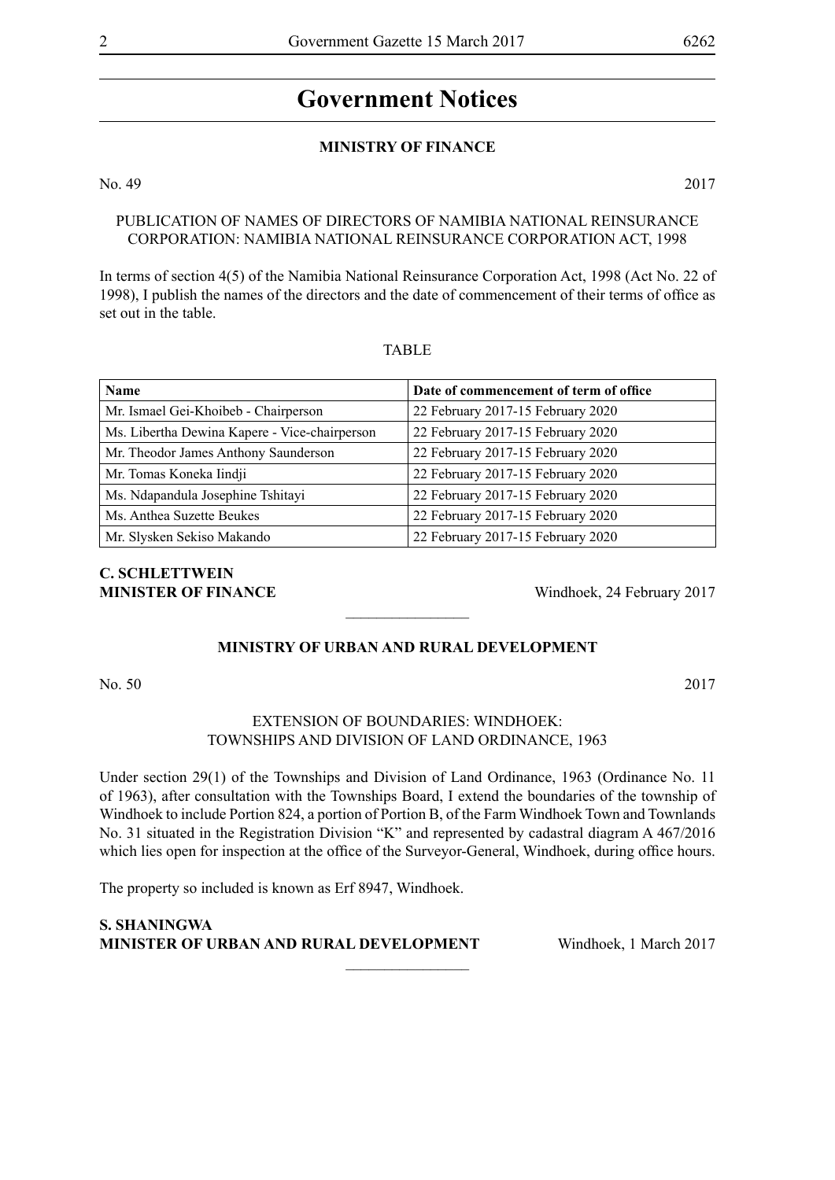#### **MINISTRY OF FINANCE**

No. 49 2017

# PUBLICATION OF NAMES OF DIRECTORS OF NAMIBIA NATIONAL REINSURANCE CORPORATION: NAMIBIA NATIONAL REINSURANCE CORPORATION ACT, 1998

In terms of section 4(5) of the Namibia National Reinsurance Corporation Act, 1998 (Act No. 22 of 1998), I publish the names of the directors and the date of commencement of their terms of office as set out in the table.

#### TABLE

| <b>Name</b>                                   | Date of commencement of term of office |
|-----------------------------------------------|----------------------------------------|
| Mr. Ismael Gei-Khoibeb - Chairperson          | 22 February 2017-15 February 2020      |
| Ms. Libertha Dewina Kapere - Vice-chairperson | 22 February 2017-15 February 2020      |
| Mr. Theodor James Anthony Saunderson          | 22 February 2017-15 February 2020      |
| Mr. Tomas Koneka Iindji                       | 22 February 2017-15 February 2020      |
| Ms. Ndapandula Josephine Tshitayi             | 22 February 2017-15 February 2020      |
| Ms. Anthea Suzette Beukes                     | 22 February 2017-15 February 2020      |
| Mr. Slysken Sekiso Makando                    | 22 February 2017-15 February 2020      |

# **C. Schlettwein MINISTER OF FINANCE** Windhoek, 24 February 2017

# **MINISTRY OF URBAN AND RURAL DEVELOPMENT**

 $\overline{\phantom{a}}$  , where  $\overline{\phantom{a}}$ 

No. 50 2017

#### EXTENSION OF BOUNDARIES: WINDHOEK: TOWNSHIPS AND DIVISION OF LAND ORDINANCE, 1963

Under section 29(1) of the Townships and Division of Land Ordinance, 1963 (Ordinance No. 11 of 1963), after consultation with the Townships Board, I extend the boundaries of the township of Windhoek to include Portion 824, a portion of Portion B, of the Farm Windhoek Town and Townlands No. 31 situated in the Registration Division "K" and represented by cadastral diagram A 467/2016 which lies open for inspection at the office of the Surveyor-General, Windhoek, during office hours.

 $\overline{\phantom{a}}$  , where  $\overline{\phantom{a}}$ 

The property so included is known as Erf 8947, Windhoek.

**S. Shaningwa Minister of Urban and Rural Development** Windhoek, 1 March 2017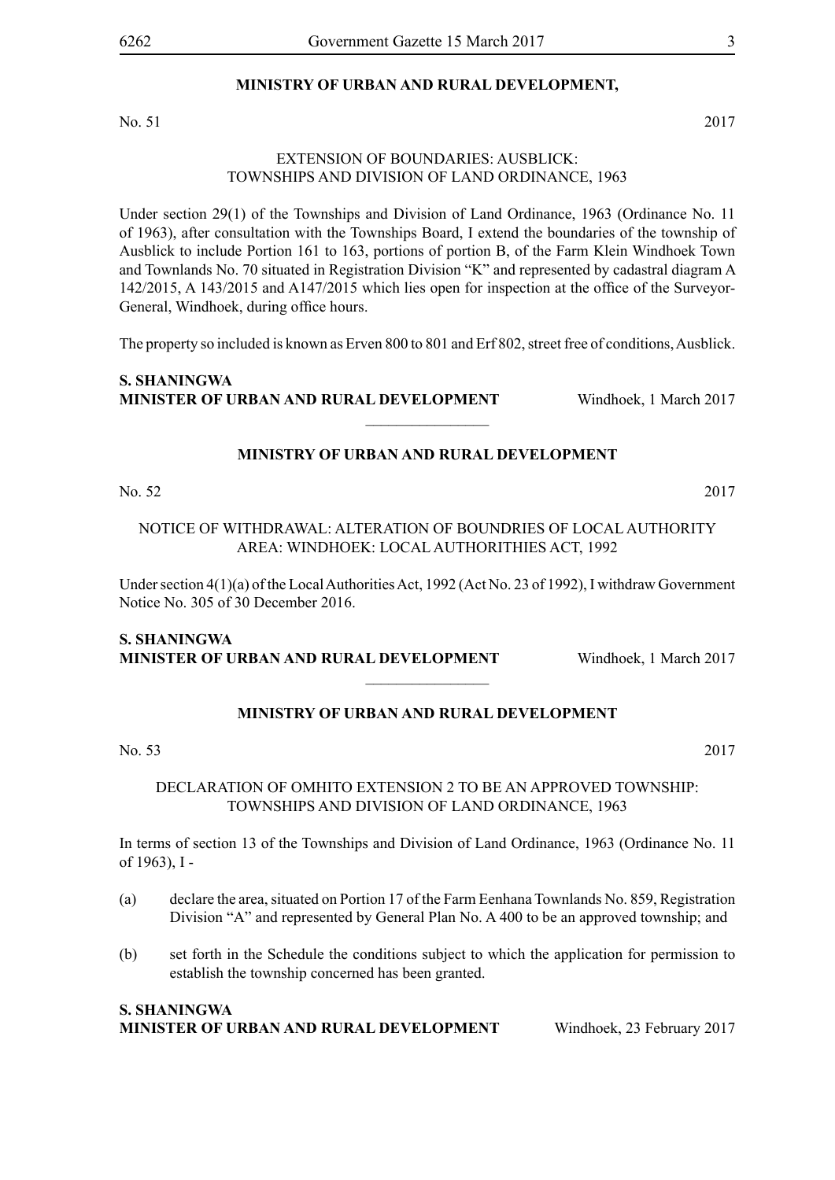# **MINISTRY OF URBAN AND RURAL DEVELOPMENT,**

No. 51 2017

#### EXTENSION OF BOUNDARIES: AUSBLICK: TOWNSHIPS AND DIVISION OF LAND ORDINANCE, 1963

Under section 29(1) of the Townships and Division of Land Ordinance, 1963 (Ordinance No. 11 of 1963), after consultation with the Townships Board, I extend the boundaries of the township of Ausblick to include Portion 161 to 163, portions of portion B, of the Farm Klein Windhoek Town and Townlands No. 70 situated in Registration Division "K" and represented by cadastral diagram A 142/2015, A 143/2015 and A147/2015 which lies open for inspection at the office of the Surveyor-General, Windhoek, during office hours.

The property so included is known as Erven 800 to 801 and Erf 802, street free of conditions, Ausblick.

# **S. Shaningwa Minister of Urban and Rural Development** Windhoek, 1 March 2017

# **MINISTRY OF URBAN AND RURAL DEVELOPMENT**

 $\overline{\phantom{a}}$  , where  $\overline{\phantom{a}}$ 

No. 52 2017

NOTICE OF WITHDRAWAL: ALTERATION OF BOUNDRIES OF LOCAL AUTHORITY AREA: WINDHOEK: LOCAL AUTHORITHIES ACT, 1992

Under section 4(1)(a) of the Local Authorities Act, 1992 (Act No. 23 of 1992), I withdraw Government Notice No. 305 of 30 December 2016.

# **S. Shaningwa Minister of Urban and Rural Development** Windhoek, 1 March 2017

# **MINISTRY OF URBAN AND RURAL DEVELOPMENT**

 $\frac{1}{2}$ 

No. 53 2017

DECLARATION OF OMHITO EXTENSION 2 TO BE AN APPROVED TOWNSHIP: TOWNSHIPS AND DIVISION OF LAND ORDINANCE, 1963

In terms of section 13 of the Townships and Division of Land Ordinance, 1963 (Ordinance No. 11 of 1963), I -

- (a) declare the area, situated on Portion 17 of the Farm Eenhana Townlands No. 859, Registration Division "A" and represented by General Plan No. A 400 to be an approved township; and
- (b) set forth in the Schedule the conditions subject to which the application for permission to establish the township concerned has been granted.

#### **S. Shaningwa Minister of Urban and Rural Development** Windhoek, 23 February 2017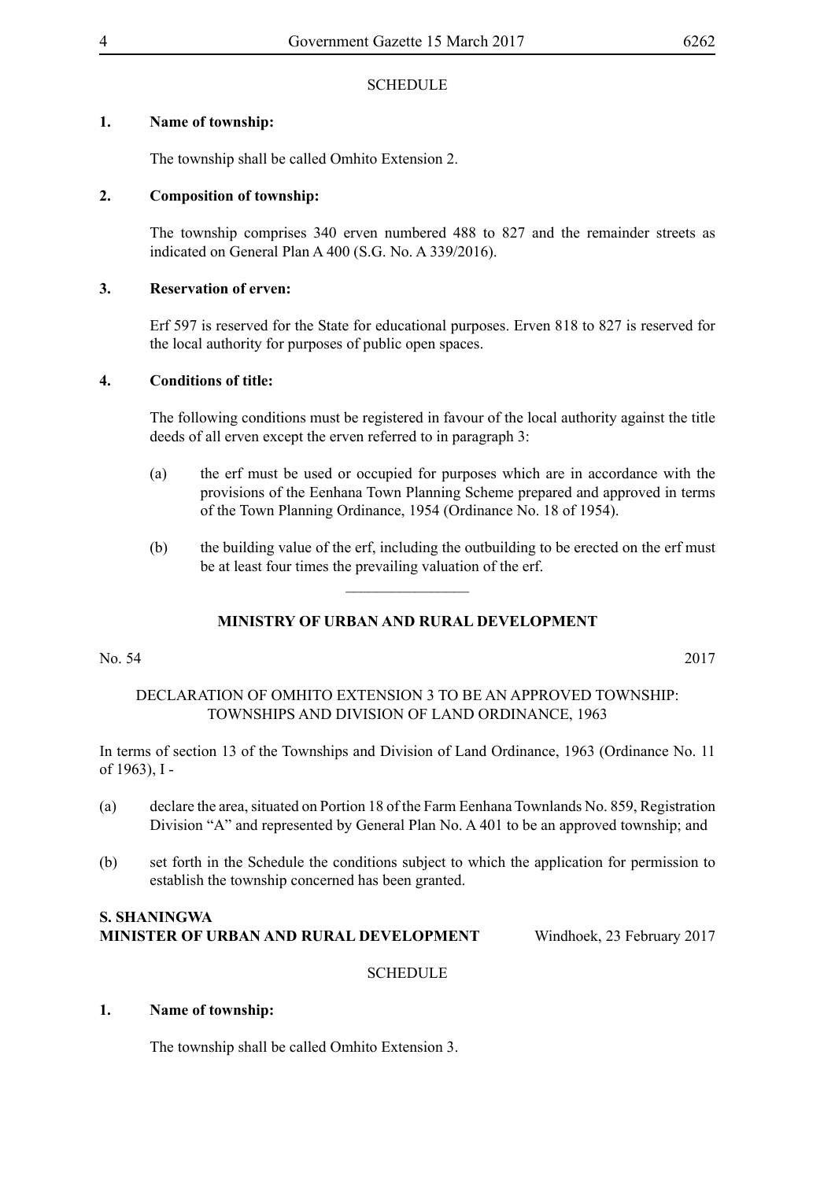# **SCHEDULE**

# **1. Name of township:**

The township shall be called Omhito Extension 2.

# **2. Composition of township:**

The township comprises 340 erven numbered 488 to 827 and the remainder streets as indicated on General Plan A 400 (S.G. No. A 339/2016).

# **3. Reservation of erven:**

Erf 597 is reserved for the State for educational purposes. Erven 818 to 827 is reserved for the local authority for purposes of public open spaces.

# **4. Conditions of title:**

The following conditions must be registered in favour of the local authority against the title deeds of all erven except the erven referred to in paragraph 3:

- (a) the erf must be used or occupied for purposes which are in accordance with the provisions of the Eenhana Town Planning Scheme prepared and approved in terms of the Town Planning Ordinance, 1954 (Ordinance No. 18 of 1954).
- (b) the building value of the erf, including the outbuilding to be erected on the erf must be at least four times the prevailing valuation of the erf.

# **MINISTRY OF URBAN AND RURAL DEVELOPMENT**

 $\overline{\phantom{a}}$  , where  $\overline{\phantom{a}}$ 

#### No. 54 2017

# DECLARATION OF OMHITO EXTENSION 3 TO BE AN APPROVED TOWNSHIP: TOWNSHIPS AND DIVISION OF LAND ORDINANCE, 1963

In terms of section 13 of the Townships and Division of Land Ordinance, 1963 (Ordinance No. 11 of 1963), I -

- (a) declare the area, situated on Portion 18 of the Farm Eenhana Townlands No. 859, Registration Division "A" and represented by General Plan No. A 401 to be an approved township; and
- (b) set forth in the Schedule the conditions subject to which the application for permission to establish the township concerned has been granted.

# **S. Shaningwa Minister of Urban and Rural Development** Windhoek, 23 February 2017

# **SCHEDULE**

# **1. Name of township:**

The township shall be called Omhito Extension 3.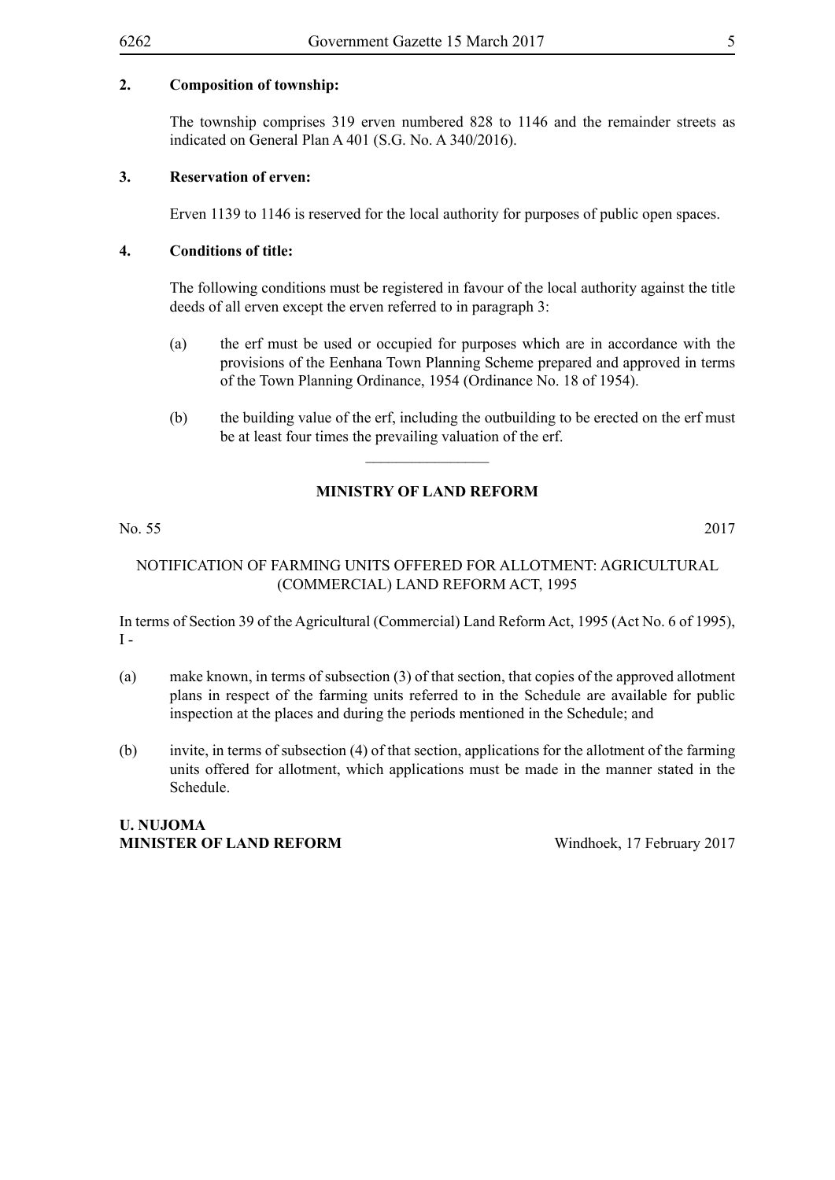# **2. Composition of township:**

The township comprises 319 erven numbered 828 to 1146 and the remainder streets as indicated on General Plan A 401 (S.G. No. A 340/2016).

#### **3. Reservation of erven:**

Erven 1139 to 1146 is reserved for the local authority for purposes of public open spaces.

#### **4. Conditions of title:**

The following conditions must be registered in favour of the local authority against the title deeds of all erven except the erven referred to in paragraph 3:

- (a) the erf must be used or occupied for purposes which are in accordance with the provisions of the Eenhana Town Planning Scheme prepared and approved in terms of the Town Planning Ordinance, 1954 (Ordinance No. 18 of 1954).
- (b) the building value of the erf, including the outbuilding to be erected on the erf must be at least four times the prevailing valuation of the erf.

# **MINISTRY OF LAND REFORM**

 $\overline{\phantom{a}}$  , where  $\overline{\phantom{a}}$ 

No. 55 2017

# NOTIFICATION OF FARMING UNITS OFFERED FOR ALLOTMENT: AGRICULTURAL (COMMERCIAL) LAND REFORM ACT, 1995

In terms of Section 39 of the Agricultural (Commercial) Land Reform Act, 1995 (Act No. 6 of 1995),  $I -$ 

- (a) make known, in terms of subsection (3) of that section, that copies of the approved allotment plans in respect of the farming units referred to in the Schedule are available for public inspection at the places and during the periods mentioned in the Schedule; and
- (b) invite, in terms of subsection (4) of that section, applications for the allotment of the farming units offered for allotment, which applications must be made in the manner stated in the Schedule.

# **U. Nujoma MINISTER OF LAND REFORM** Windhoek, 17 February 2017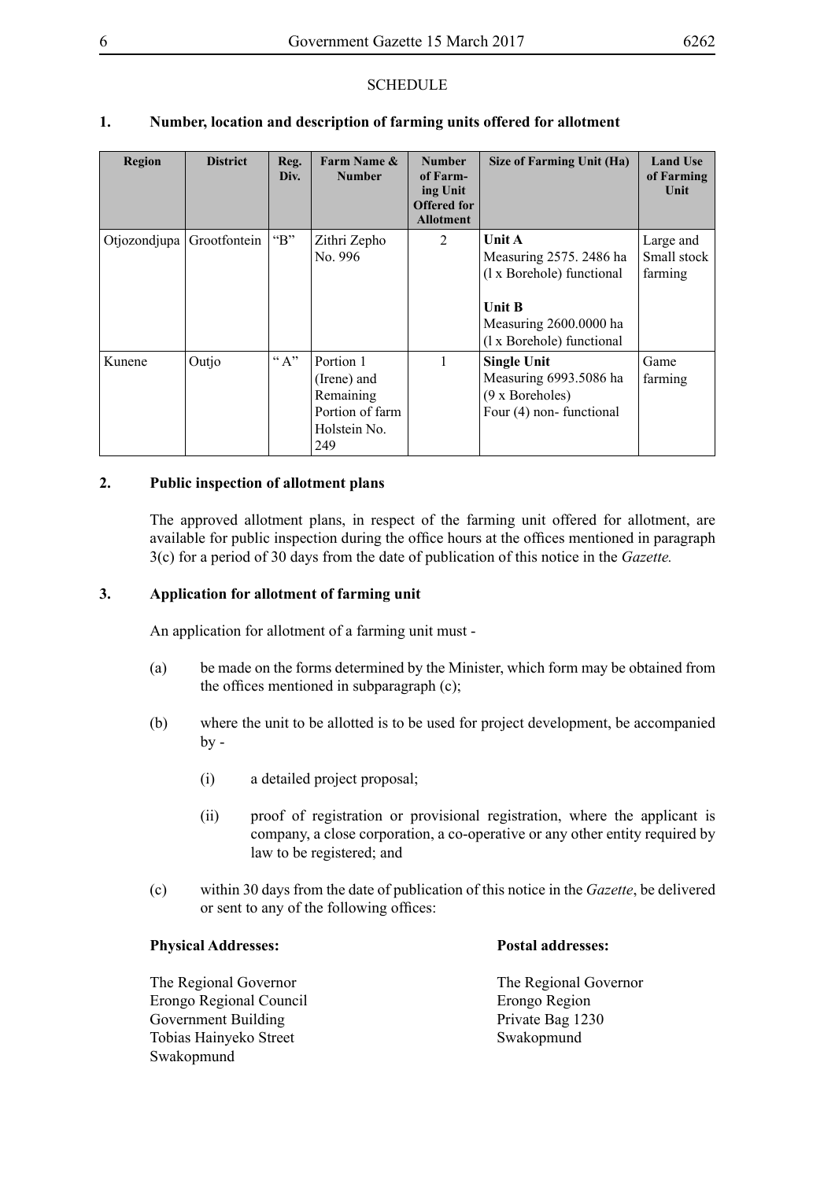# **SCHEDULE**

# **1. Number, location and description of farming units offered for allotment**

| <b>Region</b> | <b>District</b> | Reg.<br>Div.                      | Farm Name &<br><b>Number</b>                                                    | <b>Number</b><br>of Farm-<br>ing Unit<br><b>Offered for</b><br><b>Allotment</b> | Size of Farming Unit (Ha)                                                                                                                     | <b>Land Use</b><br>of Farming<br>Unit |
|---------------|-----------------|-----------------------------------|---------------------------------------------------------------------------------|---------------------------------------------------------------------------------|-----------------------------------------------------------------------------------------------------------------------------------------------|---------------------------------------|
| Otjozondjupa  | Grootfontein    | $\lq$ <sup>*</sup> B <sup>*</sup> | Zithri Zepho<br>No. 996                                                         | 2                                                                               | <b>Unit A</b><br>Measuring 2575. 2486 ha<br>(1 x Borehole) functional<br><b>Unit B</b><br>Measuring 2600.0000 ha<br>(1 x Borehole) functional | Large and<br>Small stock<br>farming   |
| Kunene        | Outjo           | $\lq \lq A$ "                     | Portion 1<br>(Irene) and<br>Remaining<br>Portion of farm<br>Holstein No.<br>249 |                                                                                 | <b>Single Unit</b><br>Measuring 6993.5086 ha<br>(9 x Boreholes)<br>Four (4) non-functional                                                    | Game<br>farming                       |

# **2. Public inspection of allotment plans**

The approved allotment plans, in respect of the farming unit offered for allotment, are available for public inspection during the office hours at the offices mentioned in paragraph 3(c) for a period of 30 days from the date of publication of this notice in the *Gazette.*

#### **3. Application for allotment of farming unit**

An application for allotment of a farming unit must -

- (a) be made on the forms determined by the Minister, which form may be obtained from the offices mentioned in subparagraph (c);
- (b) where the unit to be allotted is to be used for project development, be accompanied  $by -$ 
	- (i) a detailed project proposal;
	- (ii) proof of registration or provisional registration, where the applicant is company, a close corporation, a co-operative or any other entity required by law to be registered; and
- (c) within 30 days from the date of publication of this notice in the *Gazette*, be delivered or sent to any of the following offices:

#### **Physical Addresses: Postal addresses:**

Erongo Regional Council Erongo Region Government Building<br>
Tobias Hainveko Street<br>
Swakopmund Tobias Hainyeko Street Swakopmund

The Regional Governor The Regional Governor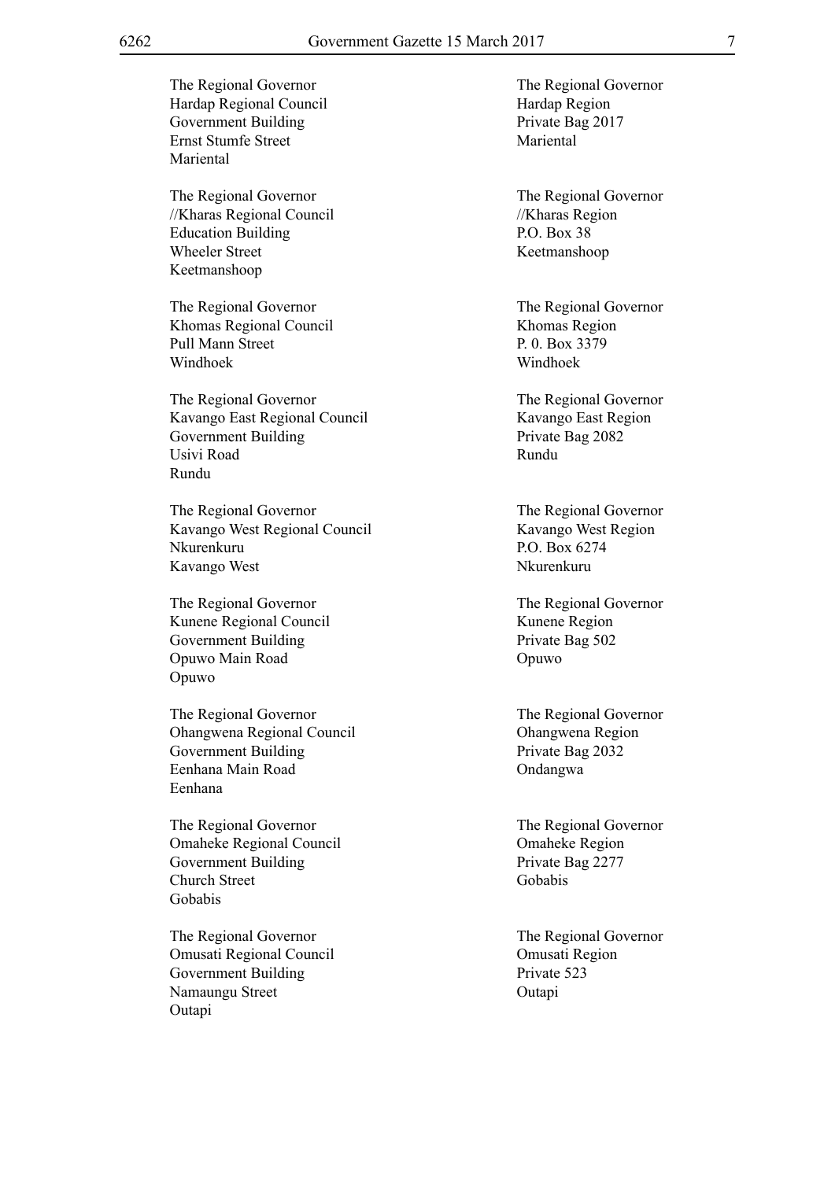The Regional Governor<br>The Regional Governor Hardap Regional Council Hardap Region Government Building Private Bag 2017 Ernst Stumfe Street Mariental Mariental The Regional Governor<br>The Regional Governor //Kharas Regional Council //Kharas Region Education Building P.O. Box 38 Wheeler Street Keetmanshoop Keetmanshoop The Regional Governor The Regional Governor Khomas Regional Council Khomas Region Pull Mann Street P. 0. Box 3379 Windhoek Windhoek The Regional Governor<br>The Regional Governor Kavango East Regional Council Kavango East Region Government Building Private Bag 2082 Usivi Road Rundu Rundu The Regional Governor The Regional Governor Kavango West Regional Council Kavango West Region Nkurenkuru P.O. Box 6274 Kavango West Nkurenkuru The Regional Governor The Regional Governor Kunene Regional Council Kunene Region Government Building Private Bag 502 Opuwo Main Road Opuwo Opuwo The Regional Governor The Regional Governor Ohangwena Regional Council Ohangwena Region Government Building Private Bag 2032 Eenhana Main Road Ondangwa Eenhana The Regional Governor The Regional Governor Omaheke Regional Council **Omaheke Region** Government Building Private Bag 2277 Church Street Gobabis Gobabis The Regional Governor The Regional Governor Omusati Regional Council Omusati Region Government Building Private 523 Namaungu Street Outapi **Outapi**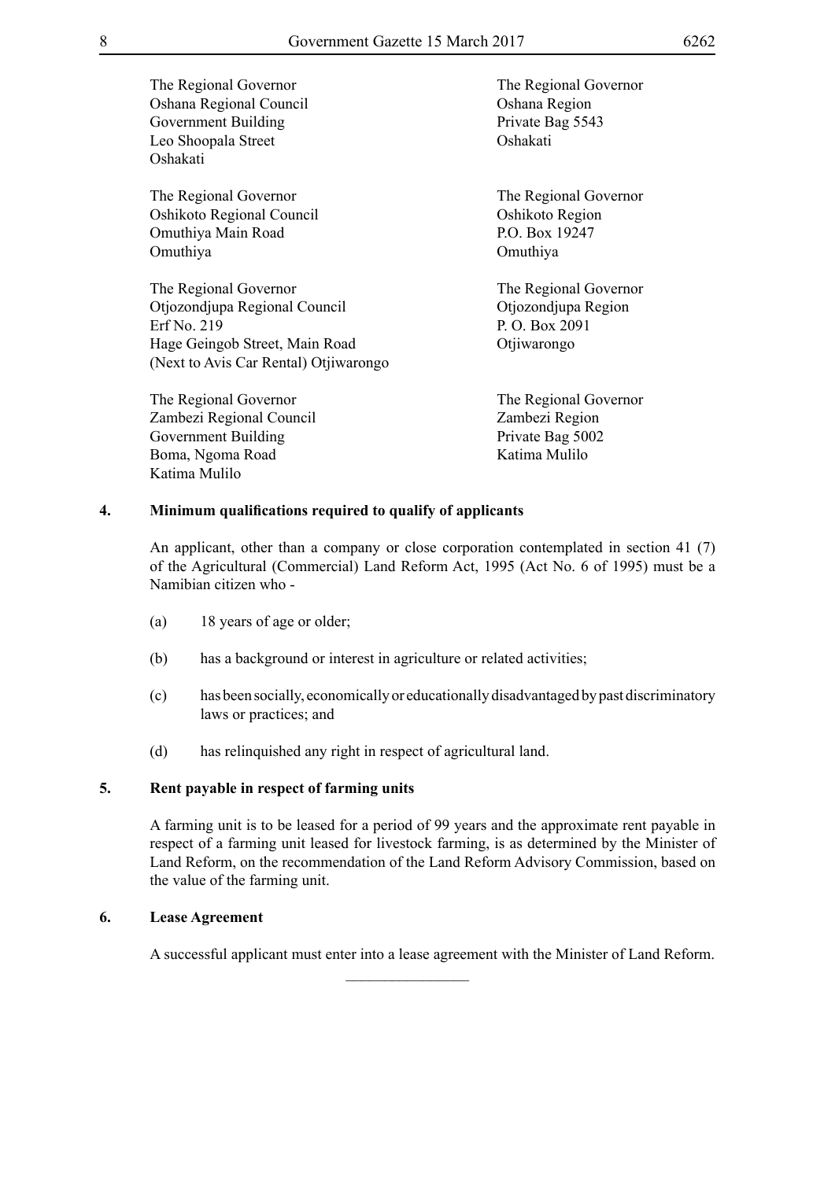The Regional Governor<br>The Regional Governor Oshana Regional Council Oshana Region Government Building Private Bag 5543 Leo Shoopala Street Oshakati Oshakati

The Regional Governor The Regional Governor Oshikoto Regional Council Oshikoto Region Omuthiya Main Road P.O. Box 19247 Omuthiya Omuthiya

The Regional Governor<br>The Regional Governor Otjozondjupa Regional Council Otjozondjupa Region Erf No. 219 P. O. Box 2091 Hage Geingob Street, Main Road Otjiwarongo (Next to Avis Car Rental) Otjiwarongo

The Regional Governor The Regional Governor Zambezi Regional Council Zambezi Region Government Building Private Bag 5002 Boma, Ngoma Road Katima Mulilo Katima Mulilo

# **4. Minimum qualifications required to qualify of applicants**

An applicant, other than a company or close corporation contemplated in section 41 (7) of the Agricultural (Commercial) Land Reform Act, 1995 (Act No. 6 of 1995) must be a Namibian citizen who -

- (a) 18 years of age or older;
- (b) has a background or interest in agriculture or related activities;
- (c) has been socially, economically or educationally disadvantaged by past discriminatory laws or practices; and
- (d) has relinquished any right in respect of agricultural land.

## **5. Rent payable in respect of farming units**

A farming unit is to be leased for a period of 99 years and the approximate rent payable in respect of a farming unit leased for livestock farming, is as determined by the Minister of Land Reform, on the recommendation of the Land Reform Advisory Commission, based on the value of the farming unit.

# **6. Lease Agreement**

A successful applicant must enter into a lease agreement with the Minister of Land Reform.

 $\frac{1}{2}$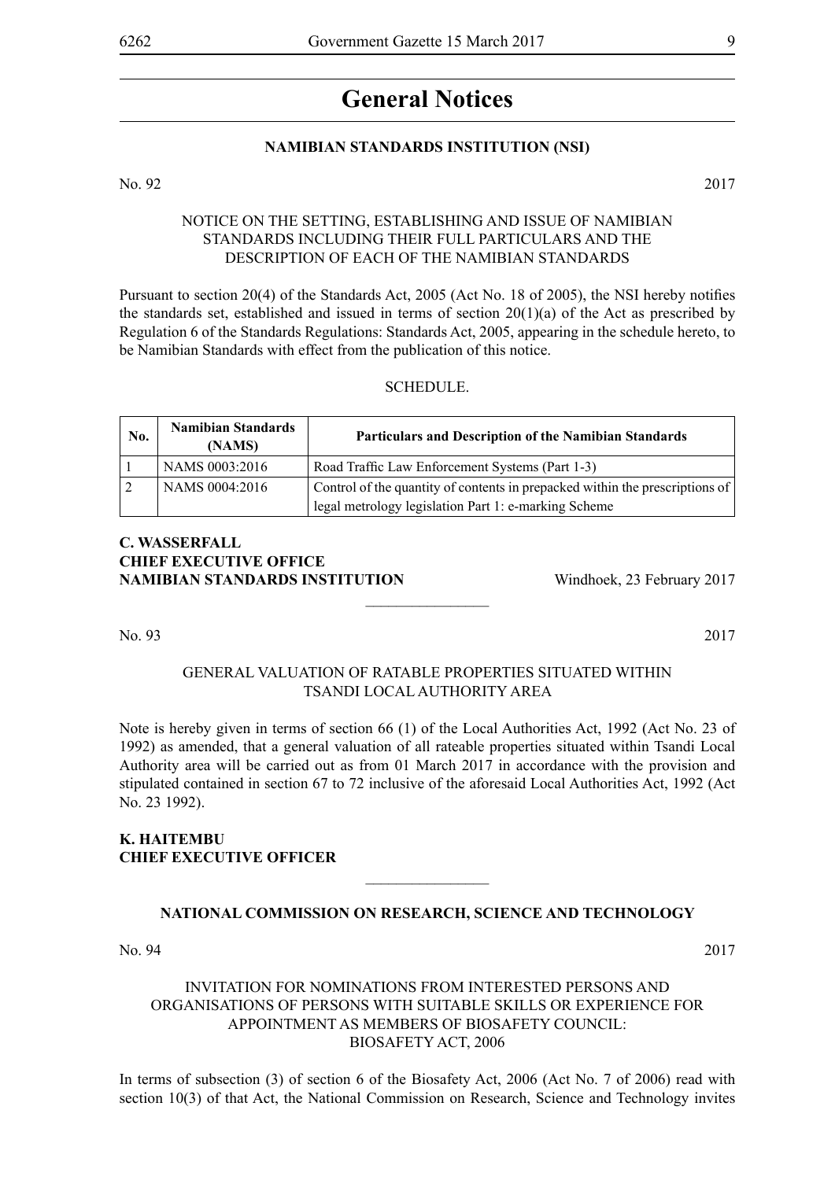# **General Notices**

#### **NAMIBIAN STANDARDS INSTITUTION (NSI)**

No. 92 2017

#### NOTICE ON THE SETTING, ESTABLISHING AND ISSUE OF NAMIBIAN STANDARDS INCLUDING THEIR FULL PARTICULARS AND THE DESCRIPTION OF EACH OF THE NAMIBIAN STANDARDS

Pursuant to section 20(4) of the Standards Act, 2005 (Act No. 18 of 2005), the NSI hereby notifies the standards set, established and issued in terms of section  $20(1)(a)$  of the Act as prescribed by Regulation 6 of the Standards Regulations: Standards Act, 2005, appearing in the schedule hereto, to be Namibian Standards with effect from the publication of this notice.

#### **SCHEDULE**

| No. | <b>Namibian Standards</b><br>(NAMS) | Particulars and Description of the Namibian Standards                        |
|-----|-------------------------------------|------------------------------------------------------------------------------|
|     | NAMS 0003:2016                      | Road Traffic Law Enforcement Systems (Part 1-3)                              |
|     | NAMS 0004:2016                      | Control of the quantity of contents in prepacked within the prescriptions of |
|     |                                     | legal metrology legislation Part 1: e-marking Scheme                         |

# **C. Wasserfall CHIEF EXECUTIVE OFFICE NAMIBIAN STANDARDS INSTITUTION** Windhoek, 23 February 2017

No. 93 2017

# GENERAL VALUATION OF RATABLE PROPERTIES SITUATED WITHIN TSANDI LOCAL AUTHORITY AREA

 $\overline{\phantom{a}}$  , where  $\overline{\phantom{a}}$ 

Note is hereby given in terms of section 66 (1) of the Local Authorities Act, 1992 (Act No. 23 of 1992) as amended, that a general valuation of all rateable properties situated within Tsandi Local Authority area will be carried out as from 01 March 2017 in accordance with the provision and stipulated contained in section 67 to 72 inclusive of the aforesaid Local Authorities Act, 1992 (Act No. 23 1992).

# **K. HAITEMBU CHIEF EXECUTIVE OFFICER**

# **NATIONAL COMMISSION ON RESEARCH, SCIENCE AND TECHNOLOGY**

 $\overline{\phantom{a}}$  , where  $\overline{\phantom{a}}$ 

No. 94 2017

# INVITATION FOR NOMINATIONS FROM INTERESTED PERSONS AND ORGANISATIONS OF PERSONS WITH SUITABLE SKILLS OR EXPERIENCE FOR APPOINTMENT AS MEMBERS OF BIOSAFETY COUNCIL: BIOSAFETY ACT, 2006

In terms of subsection (3) of section 6 of the Biosafety Act, 2006 (Act No. 7 of 2006) read with section 10(3) of that Act, the National Commission on Research, Science and Technology invites